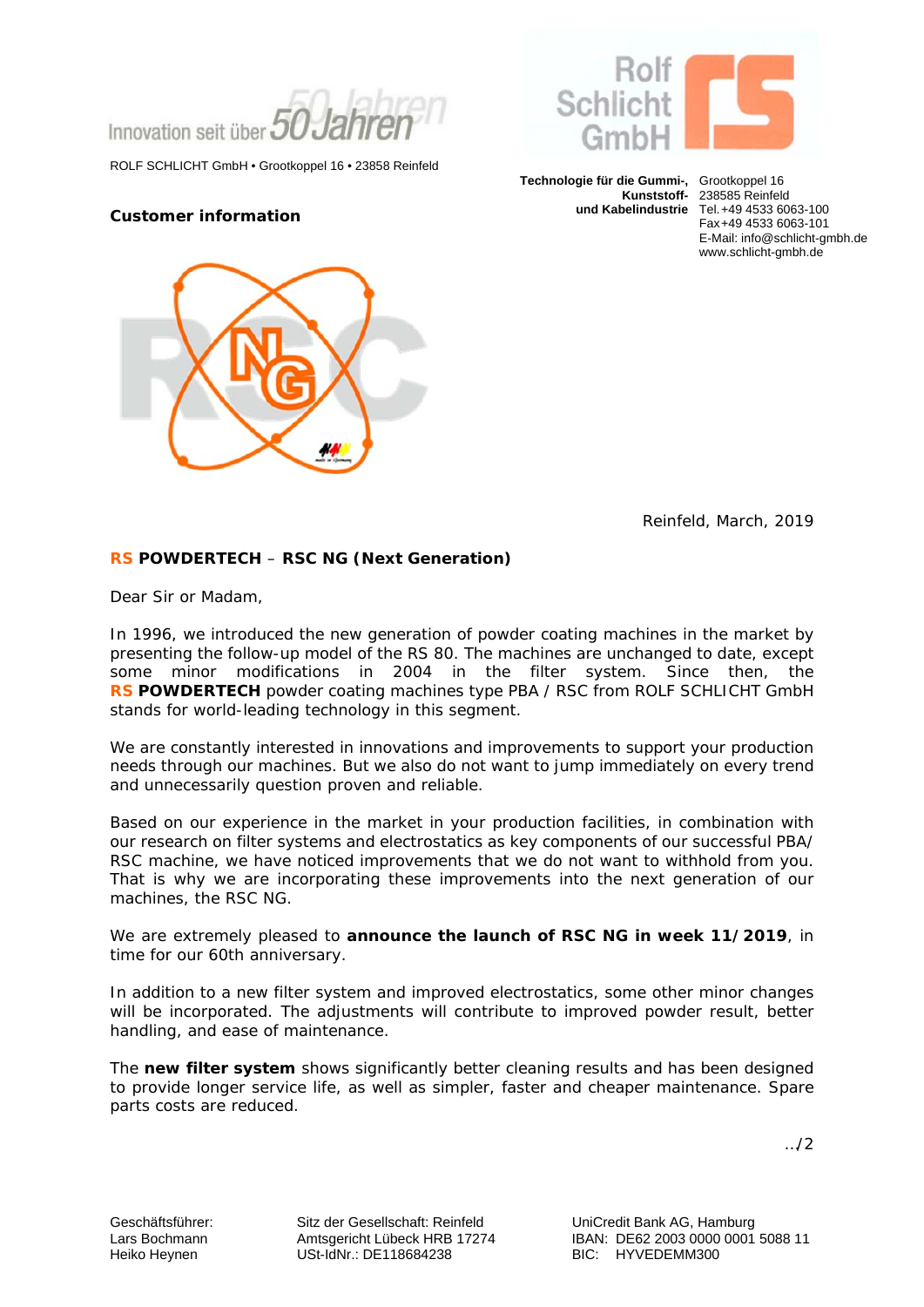Innovation seit über

ROLF SCHLICHT GmbH • Grootkoppel 16 • 23858 Reinfeld

### **Customer information**





**Technologie für die Gummi-,** Grootkoppel 16

 **Kunststoff-** 238585 Reinfeld  **und Kabelindustrie** Tel. +49 4533 6063-100 Fax +49 4533 6063-101 E-Mail: info@schlicht-gmbh.de www.schlicht-gmbh.de

Reinfeld, March, 2019

## **RS POWDERTECH** – **RSC NG (Next Generation)**

Dear Sir or Madam,

In 1996, we introduced the new generation of powder coating machines in the market by presenting the follow-up model of the RS 80. The machines are unchanged to date, except some minor modifications in 2004 in the filter system. Since then, the **RS POWDERTECH** powder coating machines type PBA / RSC from ROLF SCHLICHT GmbH stands for world-leading technology in this segment.

We are constantly interested in innovations and improvements to support your production needs through our machines. But we also do not want to jump immediately on every trend and unnecessarily question proven and reliable.

Based on our experience in the market in your production facilities, in combination with our research on filter systems and electrostatics as key components of our successful PBA/ RSC machine, we have noticed improvements that we do not want to withhold from you. That is why we are incorporating these improvements into the next generation of our machines, the RSC NG.

We are extremely pleased to **announce the launch of RSC NG in week 11/2019**, in time for our 60th anniversary.

In addition to a new filter system and improved electrostatics, some other minor changes will be incorporated. The adjustments will contribute to improved powder result, better handling, and ease of maintenance.

The **new filter system** shows significantly better cleaning results and has been designed to provide longer service life, as well as simpler, faster and cheaper maintenance. Spare parts costs are reduced.

…/2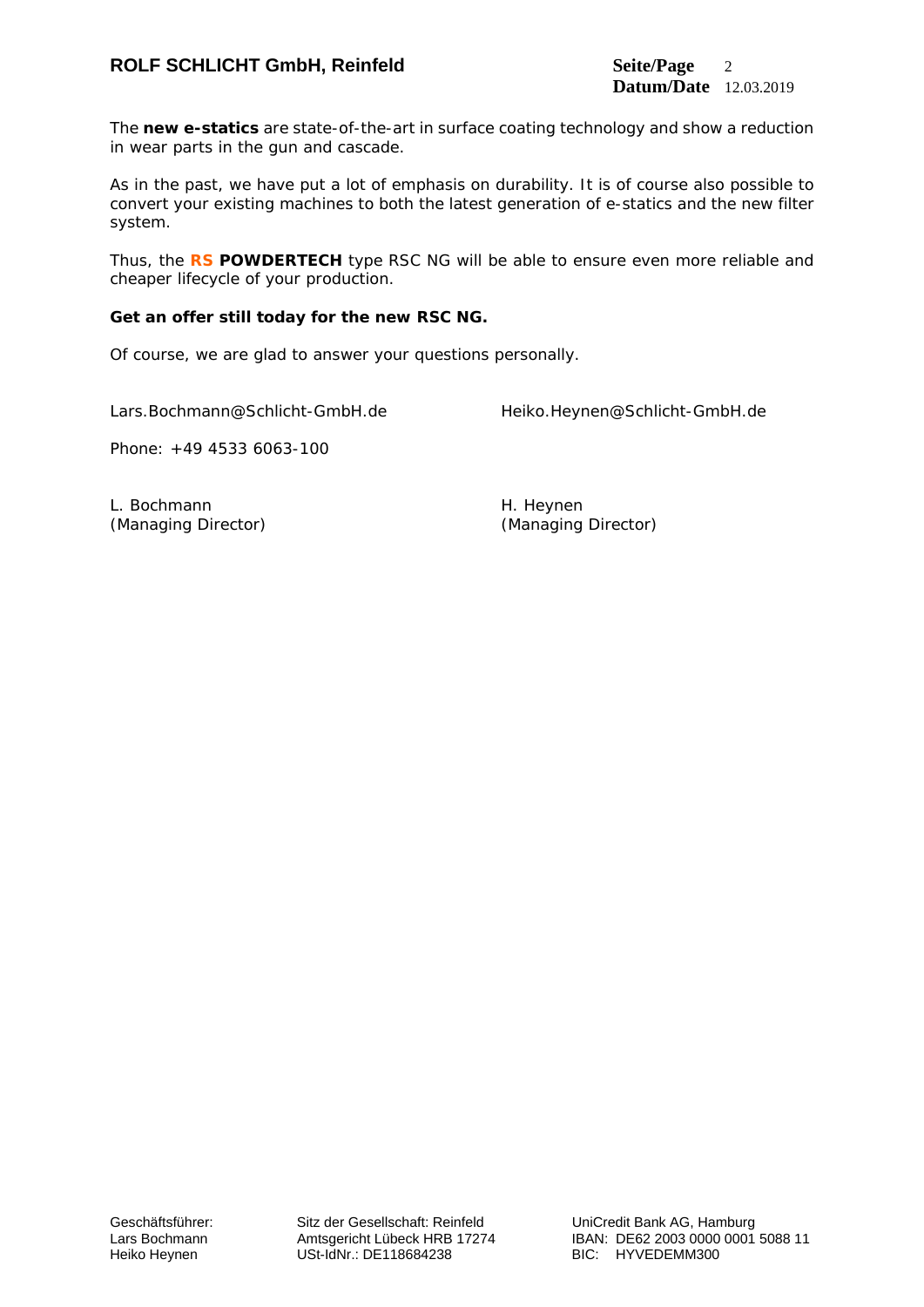# **ROLF SCHLICHT GmbH, Reinfeld Seite/Page** 2

The **new e-statics** are state-of-the-art in surface coating technology and show a reduction in wear parts in the gun and cascade.

As in the past, we have put a lot of emphasis on durability. It is of course also possible to convert your existing machines to both the latest generation of e-statics and the new filter system.

Thus, the **RS POWDERTECH** type RSC NG will be able to ensure even more reliable and cheaper lifecycle of your production.

### **Get an offer still today for the new RSC NG.**

Of course, we are glad to answer your questions personally.

Lars.Bochmann@Schlicht-GmbH.de Heiko.Heynen@Schlicht-GmbH.de

Phone: +49 4533 6063-100

L. Bochmann **H. Heynen** (Managing Director) (Managing Director)